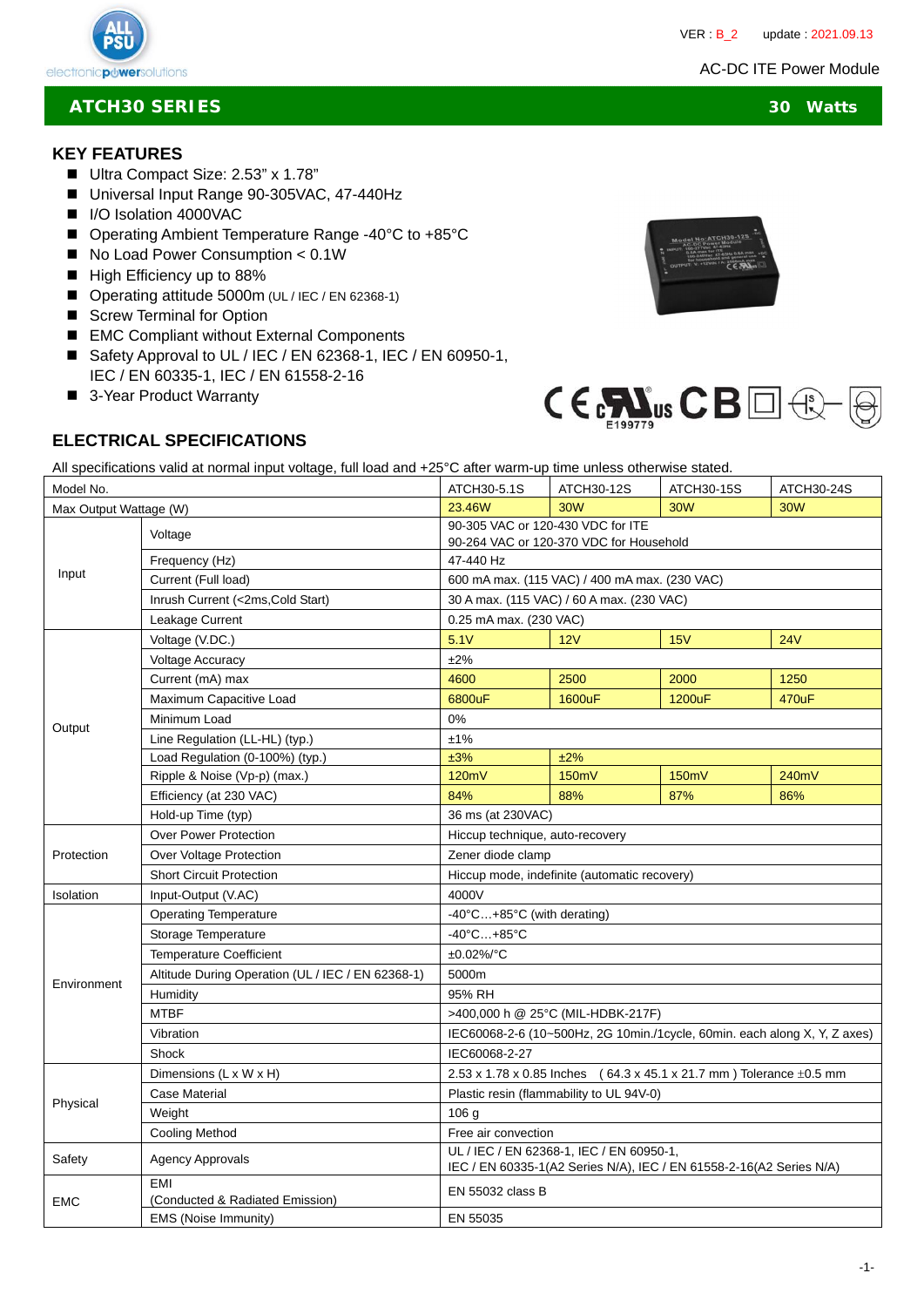AC-DC ITE Power Module



# **ATCH30 SERIES 30 Watts**

#### **KEY FEATURES**

- Ultra Compact Size: 2.53" x 1.78"
- Universal Input Range 90-305VAC, 47-440Hz
- I/O Isolation 4000VAC
- Operating Ambient Temperature Range -40°C to +85°C
- No Load Power Consumption < 0.1W
- High Efficiency up to 88%
- Operating attitude 5000m (UL / IEC / EN 62368-1)
- Screw Terminal for Option
- EMC Compliant without External Components
- Safety Approval to UL / IEC / EN 62368-1, IEC / EN 60950-1, IEC / EN 60335-1, IEC / EN 61558-2-16
- 3-Year Product Warranty





## **ELECTRICAL SPECIFICATIONS**

All specifications valid at normal input voltage, full load and +25°C after warm-up time unless otherwise stated.

| Model No.              |                                                   | ATCH30-5.1S                                                                                                     | ATCH30-12S | <b>ATCH30-15S</b> | ATCH30-24S |
|------------------------|---------------------------------------------------|-----------------------------------------------------------------------------------------------------------------|------------|-------------------|------------|
| Max Output Wattage (W) |                                                   | 23.46W                                                                                                          | 30W        | 30W               | <b>30W</b> |
| Input                  | Voltage                                           | 90-305 VAC or 120-430 VDC for ITE<br>90-264 VAC or 120-370 VDC for Household                                    |            |                   |            |
|                        | Frequency (Hz)                                    | 47-440 Hz                                                                                                       |            |                   |            |
|                        | Current (Full load)                               | 600 mA max. (115 VAC) / 400 mA max. (230 VAC)                                                                   |            |                   |            |
|                        | Inrush Current (<2ms, Cold Start)                 | 30 A max. (115 VAC) / 60 A max. (230 VAC)                                                                       |            |                   |            |
|                        | Leakage Current                                   | 0.25 mA max. (230 VAC)                                                                                          |            |                   |            |
| Output                 | Voltage (V.DC.)                                   | 5.1V                                                                                                            | 12V        | 15V               | <b>24V</b> |
|                        | <b>Voltage Accuracy</b>                           | ±2%                                                                                                             |            |                   |            |
|                        | Current (mA) max                                  | 4600                                                                                                            | 2500       | 2000              | 1250       |
|                        | Maximum Capacitive Load                           | 6800uF                                                                                                          | 1600uF     | 1200uF            | 470uF      |
|                        | Minimum Load                                      | 0%                                                                                                              |            |                   |            |
|                        | Line Regulation (LL-HL) (typ.)                    | ±1%                                                                                                             |            |                   |            |
|                        | Load Regulation (0-100%) (typ.)                   | ±3%                                                                                                             | ±2%        |                   |            |
|                        | Ripple & Noise (Vp-p) (max.)                      | 120mV                                                                                                           | 150mV      | 150mV             | 240mV      |
|                        | Efficiency (at 230 VAC)                           | 84%                                                                                                             | 88%        | 87%               | 86%        |
|                        | Hold-up Time (typ)                                | 36 ms (at 230VAC)                                                                                               |            |                   |            |
| Protection             | <b>Over Power Protection</b>                      | Hiccup technique, auto-recovery                                                                                 |            |                   |            |
|                        | Over Voltage Protection                           | Zener diode clamp                                                                                               |            |                   |            |
|                        | <b>Short Circuit Protection</b>                   | Hiccup mode, indefinite (automatic recovery)                                                                    |            |                   |            |
| Isolation              | Input-Output (V.AC)                               | 4000V                                                                                                           |            |                   |            |
| Environment            | <b>Operating Temperature</b>                      | -40°C+85°C (with derating)                                                                                      |            |                   |            |
|                        | Storage Temperature                               | $-40^{\circ}$ C $+85^{\circ}$ C                                                                                 |            |                   |            |
|                        | <b>Temperature Coefficient</b>                    | ±0.02%/°C                                                                                                       |            |                   |            |
|                        | Altitude During Operation (UL / IEC / EN 62368-1) | 5000m                                                                                                           |            |                   |            |
|                        | Humidity                                          | 95% RH                                                                                                          |            |                   |            |
|                        | <b>MTBF</b>                                       | >400,000 h @ 25°C (MIL-HDBK-217F)                                                                               |            |                   |            |
|                        | Vibration                                         | IEC60068-2-6 (10~500Hz, 2G 10min./1cycle, 60min. each along X, Y, Z axes)                                       |            |                   |            |
|                        | Shock                                             | IEC60068-2-27                                                                                                   |            |                   |            |
| Physical               | Dimensions (L x W x H)                            | 2.53 x 1.78 x 0.85 lnches (64.3 x 45.1 x 21.7 mm) Tolerance $\pm$ 0.5 mm                                        |            |                   |            |
|                        | Case Material                                     | Plastic resin (flammability to UL 94V-0)                                                                        |            |                   |            |
|                        | Weight                                            | 106 <sub>g</sub>                                                                                                |            |                   |            |
|                        | Cooling Method                                    | Free air convection                                                                                             |            |                   |            |
| Safety                 | <b>Agency Approvals</b>                           | UL / IEC / EN 62368-1, IEC / EN 60950-1,<br>IEC / EN 60335-1(A2 Series N/A), IEC / EN 61558-2-16(A2 Series N/A) |            |                   |            |
| <b>EMC</b>             | <b>EMI</b><br>(Conducted & Radiated Emission)     | EN 55032 class B                                                                                                |            |                   |            |
|                        | EMS (Noise Immunity)                              | EN 55035                                                                                                        |            |                   |            |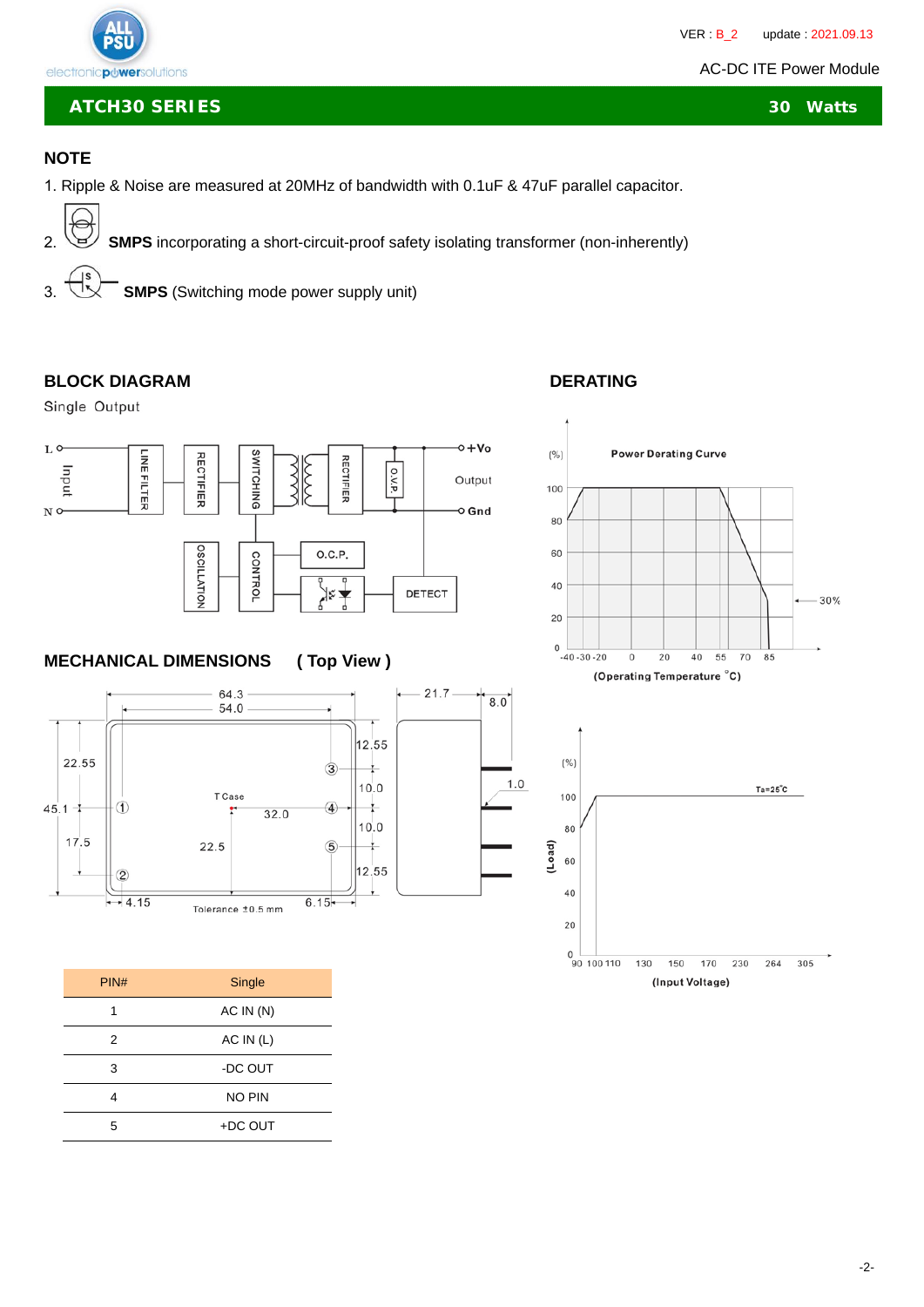# electronicpuwersolutions

C

**ATCH30 SERIES 30 Watts**

# **NOTE**

- 1. Ripple & Noise are measured at 20MHz of bandwidth with 0.1uF & 47uF parallel capacitor.
- 2. **SMPS** incorporating a short-circuit-proof safety isolating transformer (non-inherently) 3. **SMPS** (Switching mode power supply unit)

## BLOCK DIAGRAM DERATING

Single Output



# **MECHANICAL DIMENSIONS ( Top View )**



| PIN# | Single        |  |  |
|------|---------------|--|--|
| 1    | AC IN(N)      |  |  |
| 2    | AC IN (L)     |  |  |
| 3    | -DC OUT       |  |  |
| 4    | <b>NO PIN</b> |  |  |
| 5    | +DC OUT       |  |  |



(Operating Temperature °C)